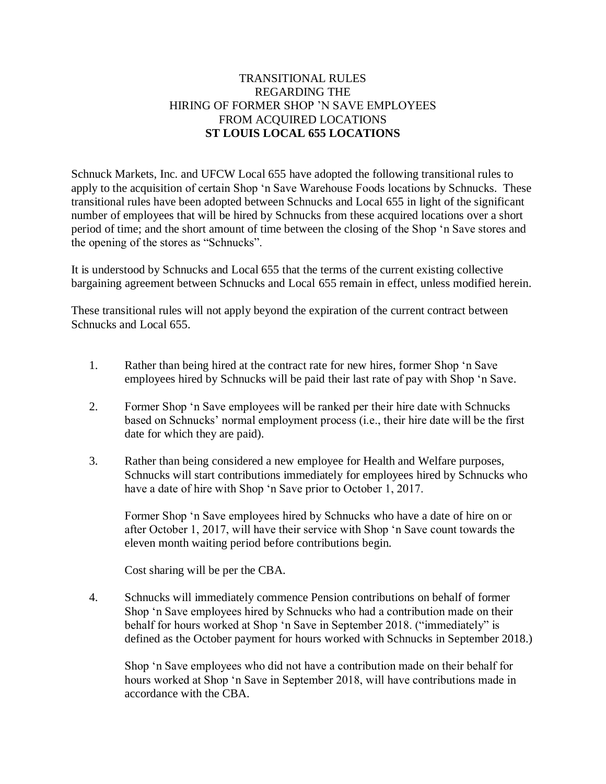## TRANSITIONAL RULES REGARDING THE HIRING OF FORMER SHOP 'N SAVE EMPLOYEES FROM ACQUIRED LOCATIONS **ST LOUIS LOCAL 655 LOCATIONS**

Schnuck Markets, Inc. and UFCW Local 655 have adopted the following transitional rules to apply to the acquisition of certain Shop 'n Save Warehouse Foods locations by Schnucks. These transitional rules have been adopted between Schnucks and Local 655 in light of the significant number of employees that will be hired by Schnucks from these acquired locations over a short period of time; and the short amount of time between the closing of the Shop 'n Save stores and the opening of the stores as "Schnucks".

It is understood by Schnucks and Local 655 that the terms of the current existing collective bargaining agreement between Schnucks and Local 655 remain in effect, unless modified herein.

These transitional rules will not apply beyond the expiration of the current contract between Schnucks and Local 655.

- 1. Rather than being hired at the contract rate for new hires, former Shop 'n Save employees hired by Schnucks will be paid their last rate of pay with Shop 'n Save.
- 2. Former Shop 'n Save employees will be ranked per their hire date with Schnucks based on Schnucks' normal employment process (i.e., their hire date will be the first date for which they are paid).
- 3. Rather than being considered a new employee for Health and Welfare purposes, Schnucks will start contributions immediately for employees hired by Schnucks who have a date of hire with Shop 'n Save prior to October 1, 2017.

Former Shop 'n Save employees hired by Schnucks who have a date of hire on or after October 1, 2017, will have their service with Shop 'n Save count towards the eleven month waiting period before contributions begin.

Cost sharing will be per the CBA.

4. Schnucks will immediately commence Pension contributions on behalf of former Shop 'n Save employees hired by Schnucks who had a contribution made on their behalf for hours worked at Shop 'n Save in September 2018. ("immediately" is defined as the October payment for hours worked with Schnucks in September 2018.)

Shop 'n Save employees who did not have a contribution made on their behalf for hours worked at Shop 'n Save in September 2018, will have contributions made in accordance with the CBA.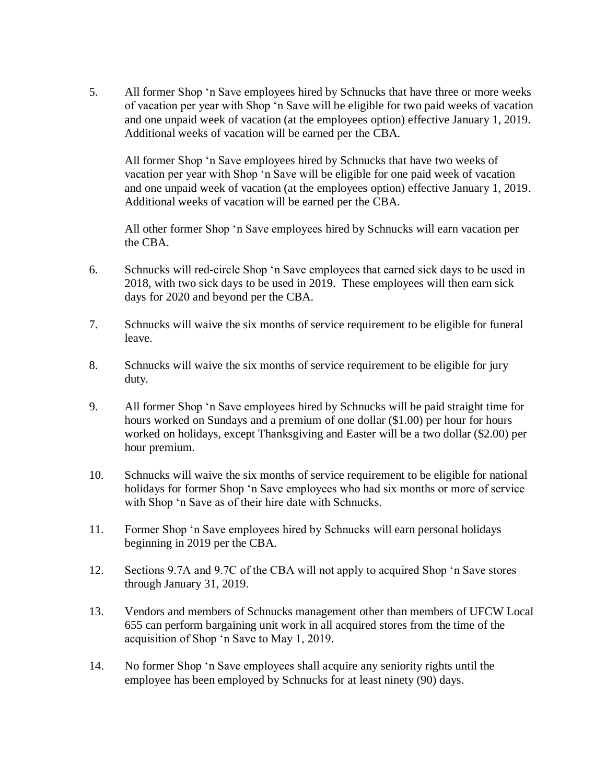5. All former Shop 'n Save employees hired by Schnucks that have three or more weeks of vacation per year with Shop 'n Save will be eligible for two paid weeks of vacation and one unpaid week of vacation (at the employees option) effective January 1, 2019. Additional weeks of vacation will be earned per the CBA.

All former Shop 'n Save employees hired by Schnucks that have two weeks of vacation per year with Shop 'n Save will be eligible for one paid week of vacation and one unpaid week of vacation (at the employees option) effective January 1, 2019. Additional weeks of vacation will be earned per the CBA.

All other former Shop 'n Save employees hired by Schnucks will earn vacation per the CBA.

- 6. Schnucks will red-circle Shop 'n Save employees that earned sick days to be used in 2018, with two sick days to be used in 2019. These employees will then earn sick days for 2020 and beyond per the CBA.
- 7. Schnucks will waive the six months of service requirement to be eligible for funeral leave.
- 8. Schnucks will waive the six months of service requirement to be eligible for jury duty.
- 9. All former Shop 'n Save employees hired by Schnucks will be paid straight time for hours worked on Sundays and a premium of one dollar (\$1.00) per hour for hours worked on holidays, except Thanksgiving and Easter will be a two dollar (\$2.00) per hour premium.
- 10. Schnucks will waive the six months of service requirement to be eligible for national holidays for former Shop 'n Save employees who had six months or more of service with Shop 'n Save as of their hire date with Schnucks.
- 11. Former Shop 'n Save employees hired by Schnucks will earn personal holidays beginning in 2019 per the CBA.
- 12. Sections 9.7A and 9.7C of the CBA will not apply to acquired Shop 'n Save stores through January 31, 2019.
- 13. Vendors and members of Schnucks management other than members of UFCW Local 655 can perform bargaining unit work in all acquired stores from the time of the acquisition of Shop 'n Save to May 1, 2019.
- 14. No former Shop 'n Save employees shall acquire any seniority rights until the employee has been employed by Schnucks for at least ninety (90) days.